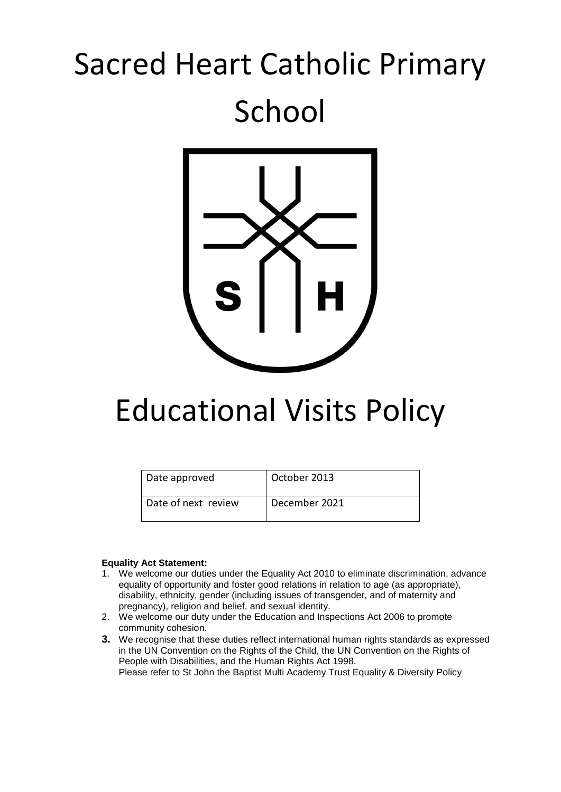# Sacred Heart Catholic Primary School



# Educational Visits Policy

| Date approved       | October 2013  |
|---------------------|---------------|
| Date of next review | December 2021 |

#### **Equality Act Statement:**

- 1. We welcome our duties under the Equality Act 2010 to eliminate discrimination, advance equality of opportunity and foster good relations in relation to age (as appropriate), disability, ethnicity, gender (including issues of transgender, and of maternity and pregnancy), religion and belief, and sexual identity.
- 2. We welcome our duty under the Education and Inspections Act 2006 to promote community cohesion.
- **3.** We recognise that these duties reflect international human rights standards as expressed in the UN Convention on the Rights of the Child, the UN Convention on the Rights of People with Disabilities, and the Human Rights Act 1998. Please refer to St John the Baptist Multi Academy Trust Equality & Diversity Policy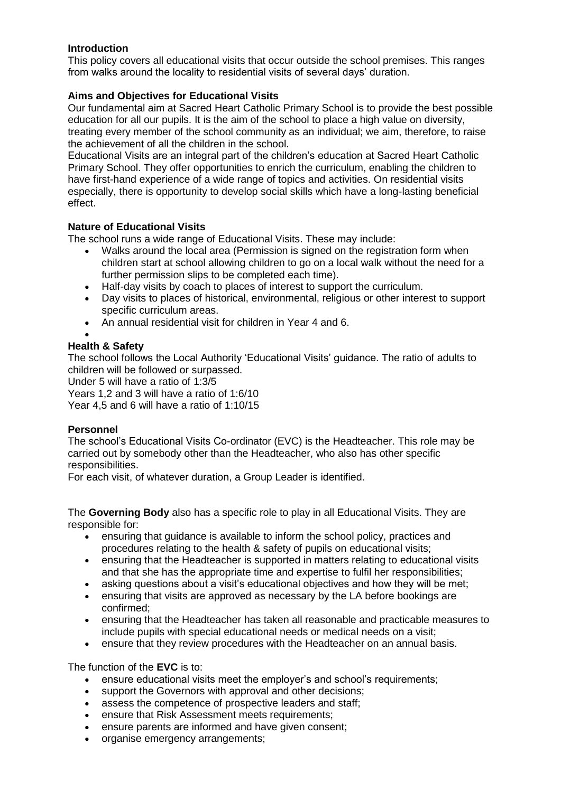## **Introduction**

This policy covers all educational visits that occur outside the school premises. This ranges from walks around the locality to residential visits of several days' duration.

#### **Aims and Objectives for Educational Visits**

Our fundamental aim at Sacred Heart Catholic Primary School is to provide the best possible education for all our pupils. It is the aim of the school to place a high value on diversity, treating every member of the school community as an individual; we aim, therefore, to raise the achievement of all the children in the school.

Educational Visits are an integral part of the children's education at Sacred Heart Catholic Primary School. They offer opportunities to enrich the curriculum, enabling the children to have first-hand experience of a wide range of topics and activities. On residential visits especially, there is opportunity to develop social skills which have a long-lasting beneficial effect.

#### **Nature of Educational Visits**

The school runs a wide range of Educational Visits. These may include:

- Walks around the local area (Permission is signed on the registration form when children start at school allowing children to go on a local walk without the need for a further permission slips to be completed each time).
- Half-day visits by coach to places of interest to support the curriculum.
- Day visits to places of historical, environmental, religious or other interest to support specific curriculum areas.
- An annual residential visit for children in Year 4 and 6.
- •

#### **Health & Safety**

The school follows the Local Authority 'Educational Visits' guidance. The ratio of adults to children will be followed or surpassed.

Under 5 will have a ratio of 1:3/5

Years 1,2 and 3 will have a ratio of 1:6/10

Year 4,5 and 6 will have a ratio of 1:10/15

#### **Personnel**

The school's Educational Visits Co-ordinator (EVC) is the Headteacher. This role may be carried out by somebody other than the Headteacher, who also has other specific responsibilities.

For each visit, of whatever duration, a Group Leader is identified.

The **Governing Body** also has a specific role to play in all Educational Visits. They are responsible for:

- ensuring that guidance is available to inform the school policy, practices and procedures relating to the health & safety of pupils on educational visits;
- ensuring that the Headteacher is supported in matters relating to educational visits and that she has the appropriate time and expertise to fulfil her responsibilities;
- asking questions about a visit's educational objectives and how they will be met;
- ensuring that visits are approved as necessary by the LA before bookings are confirmed;
- ensuring that the Headteacher has taken all reasonable and practicable measures to include pupils with special educational needs or medical needs on a visit;
- ensure that they review procedures with the Headteacher on an annual basis.

The function of the **EVC** is to:

- ensure educational visits meet the employer's and school's requirements;
- support the Governors with approval and other decisions;
- assess the competence of prospective leaders and staff;
- ensure that Risk Assessment meets requirements;
- ensure parents are informed and have given consent;
- organise emergency arrangements;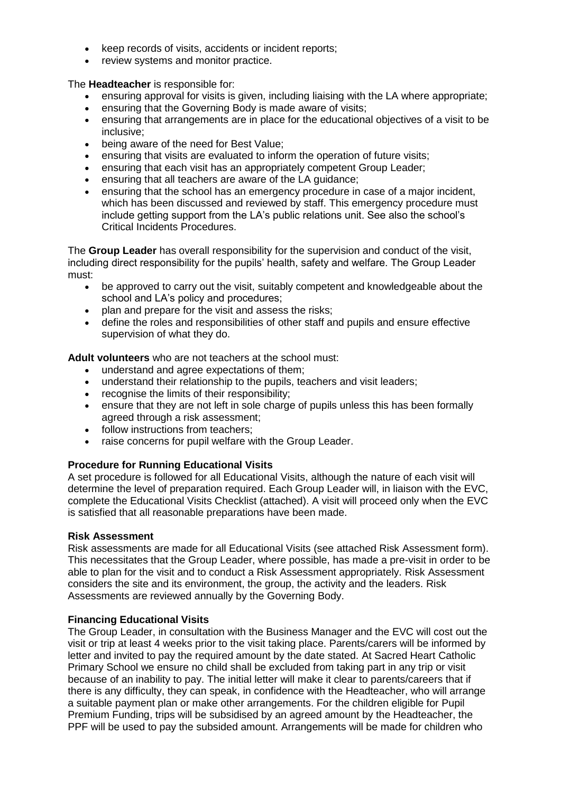- keep records of visits, accidents or incident reports;
- review systems and monitor practice.

The **Headteacher** is responsible for:

- ensuring approval for visits is given, including liaising with the LA where appropriate;
- ensuring that the Governing Body is made aware of visits;
- ensuring that arrangements are in place for the educational objectives of a visit to be inclusive;
- being aware of the need for Best Value;
- ensuring that visits are evaluated to inform the operation of future visits;
- ensuring that each visit has an appropriately competent Group Leader;
- ensuring that all teachers are aware of the LA guidance;
- ensuring that the school has an emergency procedure in case of a major incident, which has been discussed and reviewed by staff. This emergency procedure must include getting support from the LA's public relations unit. See also the school's Critical Incidents Procedures.

The **Group Leader** has overall responsibility for the supervision and conduct of the visit, including direct responsibility for the pupils' health, safety and welfare. The Group Leader must:

- be approved to carry out the visit, suitably competent and knowledgeable about the school and LA's policy and procedures;
- plan and prepare for the visit and assess the risks;
- define the roles and responsibilities of other staff and pupils and ensure effective supervision of what they do.

**Adult volunteers** who are not teachers at the school must:

- understand and agree expectations of them;
- understand their relationship to the pupils, teachers and visit leaders;
- recognise the limits of their responsibility;
- ensure that they are not left in sole charge of pupils unless this has been formally agreed through a risk assessment;
- follow instructions from teachers:
- raise concerns for pupil welfare with the Group Leader.

#### **Procedure for Running Educational Visits**

A set procedure is followed for all Educational Visits, although the nature of each visit will determine the level of preparation required. Each Group Leader will, in liaison with the EVC, complete the Educational Visits Checklist (attached). A visit will proceed only when the EVC is satisfied that all reasonable preparations have been made.

#### **Risk Assessment**

Risk assessments are made for all Educational Visits (see attached Risk Assessment form). This necessitates that the Group Leader, where possible, has made a pre-visit in order to be able to plan for the visit and to conduct a Risk Assessment appropriately. Risk Assessment considers the site and its environment, the group, the activity and the leaders. Risk Assessments are reviewed annually by the Governing Body.

#### **Financing Educational Visits**

The Group Leader, in consultation with the Business Manager and the EVC will cost out the visit or trip at least 4 weeks prior to the visit taking place. Parents/carers will be informed by letter and invited to pay the required amount by the date stated. At Sacred Heart Catholic Primary School we ensure no child shall be excluded from taking part in any trip or visit because of an inability to pay. The initial letter will make it clear to parents/careers that if there is any difficulty, they can speak, in confidence with the Headteacher, who will arrange a suitable payment plan or make other arrangements. For the children eligible for Pupil Premium Funding, trips will be subsidised by an agreed amount by the Headteacher, the PPF will be used to pay the subsided amount. Arrangements will be made for children who